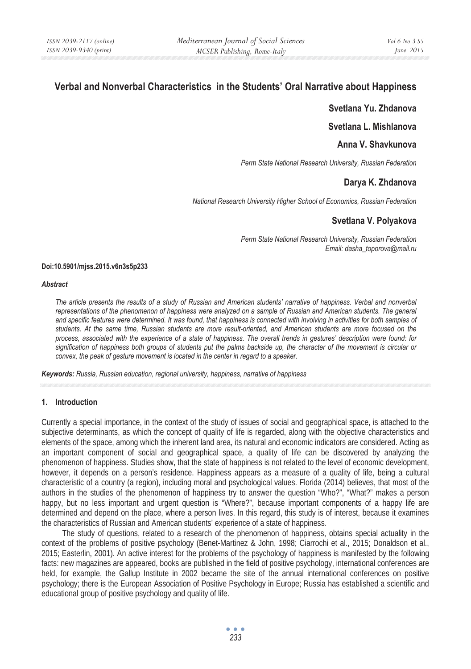# **Verbal and Nonverbal Characteristics in the Students' Oral Narrative about Happiness**

**Svetlana Yu. Zhdanova** 

**Svetlana L. Mishlanova** 

**Anna V. Shavkunova** 

*Perm State National Research University, Russian Federation* 

## **Darya K. Zhdanova**

*National Research University Higher School of Economics, Russian Federation* 

## **Svetlana V. Polyakova**

*Perm State National Research University, Russian Federation Email: dasha\_toporova@mail.ru* 

#### **Doi:10.5901/mjss.2015.v6n3s5p233**

#### *Abstract*

*The article presents the results of a study of Russian and American students' narrative of happiness. Verbal and nonverbal representations of the phenomenon of happiness were analyzed on a sample of Russian and American students. The general*  and specific features were determined. It was found, that happiness is connected with involving in activities for both samples of *students. At the same time, Russian students are more result-oriented, and American students are more focused on the process, associated with the experience of a state of happiness. The overall trends in gestures' description were found: for signification of happiness both groups of students put the palms backside up, the character of the movement is circular or convex, the peak of gesture movement is located in the center in regard to a speaker.* 

*Keywords: Russia, Russian education, regional university, happiness, narrative of happiness*

### **1. Introduction**

Currently a special importance, in the context of the study of issues of social and geographical space, is attached to the subjective determinants, as which the concept of quality of life is regarded, along with the objective characteristics and elements of the space, among which the inherent land area, its natural and economic indicators are considered. Acting as an important component of social and geographical space, a quality of life can be discovered by analyzing the phenomenon of happiness. Studies show, that the state of happiness is not related to the level of economic development, however, it depends on a person's residence. Happiness appears as a measure of a quality of life, being a cultural characteristic of a country (a region), including moral and psychological values. Florida (2014) believes, that most of the authors in the studies of the phenomenon of happiness try to answer the question "Who?", "What?" makes a person happy, but no less important and urgent question is "Where?", because important components of a happy life are determined and depend on the place, where a person lives. In this regard, this study is of interest, because it examines the characteristics of Russian and American students' experience of a state of happiness.

The study of questions, related to a research of the phenomenon of happiness, obtains special actuality in the context of the problems of positive psychology (Benet-Martinez & John, 1998; Ciarrochi et al., 2015; Donaldson et al., 2015; Easterlin, 2001). An active interest for the problems of the psychology of happiness is manifested by the following facts: new magazines are appeared, books are published in the field of positive psychology, international conferences are held, for example, the Gallup Institute in 2002 became the site of the annual international conferences on positive psychology; there is the European Association of Positive Psychology in Europe; Russia has established a scientific and educational group of positive psychology and quality of life.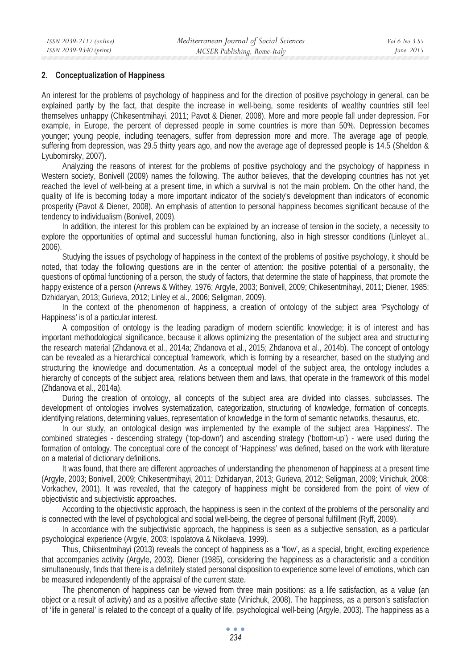#### **2. Conceptualization of Happiness**

An interest for the problems of psychology of happiness and for the direction of positive psychology in general, can be explained partly by the fact, that despite the increase in well-being, some residents of wealthy countries still feel themselves unhappy (Chikesentmihayi, 2011; Pavot & Diener, 2008). More and more people fall under depression. For example, in Europe, the percent of depressed people in some countries is more than 50%. Depression becomes younger; young people, including teenagers, suffer from depression more and more. The average age of people, suffering from depression, was 29.5 thirty years ago, and now the average age of depressed people is 14.5 (Sheldon & Lyubomirsky, 2007).

Analyzing the reasons of interest for the problems of positive psychology and the psychology of happiness in Western society, Bonivell (2009) names the following. The author believes, that the developing countries has not yet reached the level of well-being at a present time, in which a survival is not the main problem. On the other hand, the quality of life is becoming today a more important indicator of the society's development than indicators of economic prosperity (Pavot & Diener, 2008). An emphasis of attention to personal happiness becomes significant because of the tendency to individualism (Bonivell, 2009).

In addition, the interest for this problem can be explained by an increase of tension in the society, a necessity to explore the opportunities of optimal and successful human functioning, also in high stressor conditions (Linleyet al., 2006).

Studying the issues of psychology of happiness in the context of the problems of positive psychology, it should be noted, that today the following questions are in the center of attention: the positive potential of a personality, the questions of optimal functioning of a person, the study of factors, that determine the state of happiness, that promote the happy existence of a person (Anrews & Withey, 1976; Argyle, 2003; Bonivell, 2009; Chikesentmihayi, 2011; Diener, 1985; Dzhidaryan, 2013; Gurieva, 2012; Linley et al., 2006; Seligman, 2009).

In the context of the phenomenon of happiness, a creation of ontology of the subject area 'Psychology of Happiness' is of a particular interest.

A composition of ontology is the leading paradigm of modern scientific knowledge; it is of interest and has important methodological significance, because it allows optimizing the presentation of the subject area and structuring the research material (Zhdanova et al., 2014a; Zhdanova et al., 2015; Zhdanova et al., 2014b). The concept of ontology can be revealed as a hierarchical conceptual framework, which is forming by a researcher, based on the studying and structuring the knowledge and documentation. As a conceptual model of the subject area, the ontology includes a hierarchy of concepts of the subject area, relations between them and laws, that operate in the framework of this model (Zhdanova et al., 2014a).

During the creation of ontology, all concepts of the subject area are divided into classes, subclasses. The development of ontologies involves systematization, categorization, structuring of knowledge, formation of concepts, identifying relations, determining values, representation of knowledge in the form of semantic networks, thesaurus, etc.

In our study, an ontological design was implemented by the example of the subject area 'Happiness'. The combined strategies - descending strategy ('top-down') and ascending strategy ('bottom-up') - were used during the formation of ontology. The conceptual core of the concept of 'Happiness' was defined, based on the work with literature on a material of dictionary definitions.

It was found, that there are different approaches of understanding the phenomenon of happiness at a present time (Argyle, 2003; Bonivell, 2009; Chikesentmihayi, 2011; Dzhidaryan, 2013; Gurieva, 2012; Seligman, 2009; Vinichuk, 2008; Vorkachev, 2001). It was revealed, that the category of happiness might be considered from the point of view of objectivistic and subjectivistic approaches.

According to the objectivistic approach, the happiness is seen in the context of the problems of the personality and is connected with the level of psychological and social well-being, the degree of personal fulfillment (Ryff, 2009).

In accordance with the subjectivistic approach, the happiness is seen as a subjective sensation, as a particular psychological experience (Argyle, 2003; Ispolatova & Nikolaeva, 1999).

Thus, Chiksentmihayi (2013) reveals the concept of happiness as a 'flow', as a special, bright, exciting experience that accompanies activity (Argyle, 2003). Diener (1985), considering the happiness as a characteristic and a condition simultaneously, finds that there is a definitely stated personal disposition to experience some level of emotions, which can be measured independently of the appraisal of the current state.

The phenomenon of happiness can be viewed from three main positions: as a life satisfaction, as a value (an object or a result of activity) and as a positive affective state (Vinichuk, 2008). The happiness, as a person's satisfaction of 'life in general' is related to the concept of a quality of life, psychological well-being (Argyle, 2003). The happiness as a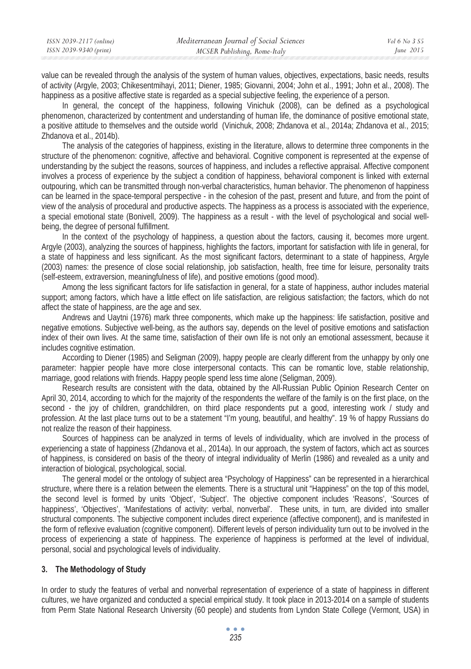| ISSN 2039-2117 (online) | Mediterranean Journal of Social Sciences | <i>Vol</i> 6 No 3 S5 |
|-------------------------|------------------------------------------|----------------------|
| ISSN 2039-9340 (print)  | MCSER Publishing, Rome-Italy             | June $2015$          |

value can be revealed through the analysis of the system of human values, objectives, expectations, basic needs, results of activity (Argyle, 2003; Chikesentmihayi, 2011; Diener, 1985; Giovanni, 2004; John et al., 1991; John et al., 2008). The happiness as a positive affective state is regarded as a special subjective feeling, the experience of a person.

In general, the concept of the happiness, following Vinichuk (2008), can be defined as a psychological phenomenon, characterized by contentment and understanding of human life, the dominance of positive emotional state, a positive attitude to themselves and the outside world (Vinichuk, 2008; Zhdanova et al., 2014a; Zhdanova et al., 2015; Zhdanova et al., 2014b).

The analysis of the categories of happiness, existing in the literature, allows to determine three components in the structure of the phenomenon: cognitive, affective and behavioral. Cognitive component is represented at the expense of understanding by the subject the reasons, sources of happiness, and includes a reflective appraisal. Affective component involves a process of experience by the subject a condition of happiness, behavioral component is linked with external outpouring, which can be transmitted through non-verbal characteristics, human behavior. The phenomenon of happiness can be learned in the space-temporal perspective - in the cohesion of the past, present and future, and from the point of view of the analysis of procedural and productive aspects. The happiness as a process is associated with the experience, a special emotional state (Bonivell, 2009). The happiness as a result - with the level of psychological and social wellbeing, the degree of personal fulfillment.

In the context of the psychology of happiness, a question about the factors, causing it, becomes more urgent. Argyle (2003), analyzing the sources of happiness, highlights the factors, important for satisfaction with life in general, for a state of happiness and less significant. As the most significant factors, determinant to a state of happiness, Argyle (2003) names: the presence of close social relationship, job satisfaction, health, free time for leisure, personality traits (self-esteem, extraversion, meaningfulness of life), and positive emotions (good mood).

Among the less significant factors for life satisfaction in general, for a state of happiness, author includes material support; among factors, which have a little effect on life satisfaction, are religious satisfaction; the factors, which do not affect the state of happiness, are the age and sex.

Andrews and Uaytni (1976) mark three components, which make up the happiness: life satisfaction, positive and negative emotions. Subjective well-being, as the authors say, depends on the level of positive emotions and satisfaction index of their own lives. At the same time, satisfaction of their own life is not only an emotional assessment, because it includes cognitive estimation.

According to Diener (1985) and Seligman (2009), happy people are clearly different from the unhappy by only one parameter: happier people have more close interpersonal contacts. This can be romantic love, stable relationship, marriage, good relations with friends. Happy people spend less time alone (Seligman, 2009).

Research results are consistent with the data, obtained by the All-Russian Public Opinion Research Center on April 30, 2014, according to which for the majority of the respondents the welfare of the family is on the first place, on the second - the joy of children, grandchildren, on third place respondents put a good, interesting work / study and profession. At the last place turns out to be a statement "I'm young, beautiful, and healthy". 19 % of happy Russians do not realize the reason of their happiness.

Sources of happiness can be analyzed in terms of levels of individuality, which are involved in the process of experiencing a state of happiness (Zhdanova et al., 2014a). In our approach, the system of factors, which act as sources of happiness, is considered on basis of the theory of integral individuality of Merlin (1986) and revealed as a unity and interaction of biological, psychological, social.

The general model or the ontology of subject area "Psychology of Happiness" can be represented in a hierarchical structure, where there is a relation between the elements. There is a structural unit "Happiness" on the top of this model, the second level is formed by units 'Object', 'Subject'. The objective component includes 'Reasons', 'Sources of happiness', 'Objectives', 'Manifestations of activity: verbal, nonverbal'. These units, in turn, are divided into smaller structural components. The subjective component includes direct experience (affective component), and is manifested in the form of reflexive evaluation (cognitive component). Different levels of person individuality turn out to be involved in the process of experiencing a state of happiness. The experience of happiness is performed at the level of individual, personal, social and psychological levels of individuality.

### **3. The Methodology of Study**

In order to study the features of verbal and nonverbal representation of experience of a state of happiness in different cultures, we have organized and conducted a special empirical study. It took place in 2013-2014 on a sample of students from Perm State National Research University (60 people) and students from Lyndon State College (Vermont, USA) in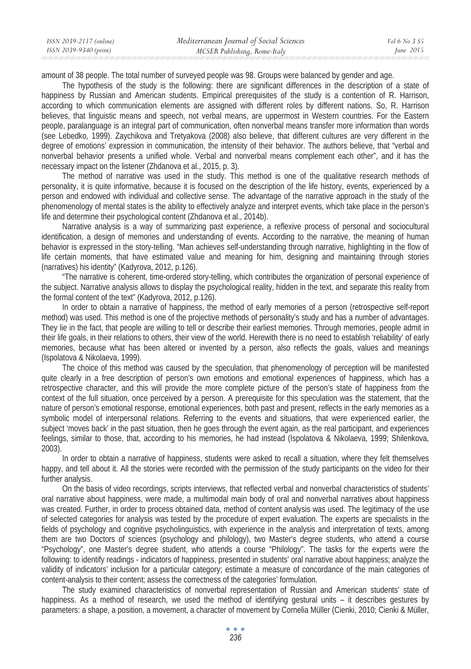| ISSN 2039-2117 (online) | Mediterranean Journal of Social Sciences | Vol 6 No 3 S5 |
|-------------------------|------------------------------------------|---------------|
| ISSN 2039-9340 (print)  | MCSER Publishing, Rome-Italy             | June $2015$   |

amount of 38 people. The total number of surveyed people was 98. Groups were balanced by gender and age.

The hypothesis of the study is the following: there are significant differences in the description of a state of happiness by Russian and American students. Empirical prerequisites of the study is a contention of R. Harrison, according to which communication elements are assigned with different roles by different nations. So, R. Harrison believes, that linguistic means and speech, not verbal means, are uppermost in Western countries. For the Eastern people, paralanguage is an integral part of communication, often nonverbal means transfer more information than words (see Lebedko, 1999). Zaychikova and Tretyakova (2008) also believe, that different cultures are very different in the degree of emotions' expression in communication, the intensity of their behavior. The authors believe, that "verbal and nonverbal behavior presents a unified whole. Verbal and nonverbal means complement each other", and it has the necessary impact on the listener (Zhdanova et al., 2015, p. 3).

The method of narrative was used in the study. This method is one of the qualitative research methods of personality, it is quite informative, because it is focused on the description of the life history, events, experienced by a person and endowed with individual and collective sense. The advantage of the narrative approach in the study of the phenomenology of mental states is the ability to effectively analyze and interpret events, which take place in the person's life and determine their psychological content (Zhdanova et al., 2014b).

Narrative analysis is a way of summarizing past experience, a reflexive process of personal and sociocultural identification, a design of memories and understanding of events. According to the narrative, the meaning of human behavior is expressed in the story-telling. "Man achieves self-understanding through narrative, highlighting in the flow of life certain moments, that have estimated value and meaning for him, designing and maintaining through stories (narratives) his identity" (Kadyrova, 2012, p.126).

"The narrative is coherent, time-ordered story-telling, which contributes the organization of personal experience of the subject. Narrative analysis allows to display the psychological reality, hidden in the text, and separate this reality from the formal content of the text" (Kadyrova, 2012, p.126).

In order to obtain a narrative of happiness, the method of early memories of a person (retrospective self-report method) was used. This method is one of the projective methods of personality's study and has a number of advantages. They lie in the fact, that people are willing to tell or describe their earliest memories. Through memories, people admit in their life goals, in their relations to others, their view of the world. Herewith there is no need to establish 'reliability' of early memories, because what has been altered or invented by a person, also reflects the goals, values and meanings (Ispolatova & Nikolaeva, 1999).

The choice of this method was caused by the speculation, that phenomenology of perception will be manifested quite clearly in a free description of person's own emotions and emotional experiences of happiness, which has a retrospective character, and this will provide the more complete picture of the person's state of happiness from the context of the full situation, once perceived by a person. A prerequisite for this speculation was the statement, that the nature of person's emotional response, emotional experiences, both past and present, reflects in the early memories as a symbolic model of interpersonal relations. Referring to the events and situations, that were experienced earlier, the subject 'moves back' in the past situation, then he goes through the event again, as the real participant, and experiences feelings, similar to those, that, according to his memories, he had instead (Ispolatova & Nikolaeva, 1999; Shilenkova, 2003).

In order to obtain a narrative of happiness, students were asked to recall a situation, where they felt themselves happy, and tell about it. All the stories were recorded with the permission of the study participants on the video for their further analysis.

On the basis of video recordings, scripts interviews, that reflected verbal and nonverbal characteristics of students' oral narrative about happiness, were made, a multimodal main body of oral and nonverbal narratives about happiness was created. Further, in order to process obtained data, method of content analysis was used. The legitimacy of the use of selected categories for analysis was tested by the procedure of expert evaluation. The experts are specialists in the fields of psychology and cognitive psycholinguistics, with experience in the analysis and interpretation of texts, among them are two Doctors of sciences (psychology and philology), two Master's degree students, who attend a course "Psychology", one Master's degree student, who attends a course "Philology". The tasks for the experts were the following: to identify readings - indicators of happiness, presented in students' oral narrative about happiness; analyze the validity of indicators' inclusion for a particular category; estimate a measure of concordance of the main categories of content-analysis to their content; assess the correctness of the categories' formulation.

The study examined characteristics of nonverbal representation of Russian and American students' state of happiness. As a method of research, we used the method of identifying gestural units – it describes gestures by parameters: a shape, a position, a movement, a character of movement by Cornelia Müller (Cienki, 2010; Cienki & Müller,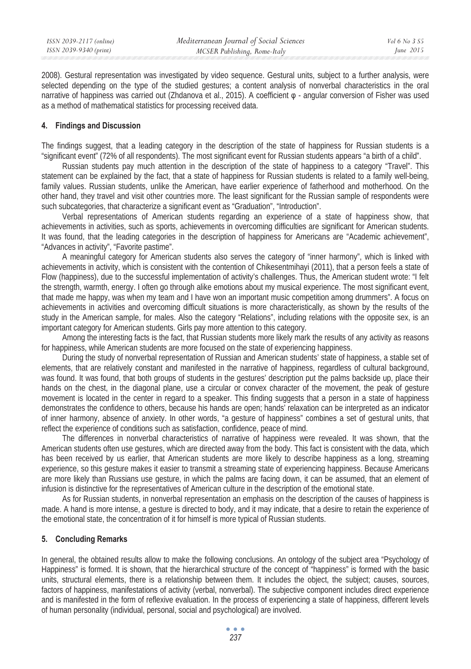2008). Gestural representation was investigated by video sequence. Gestural units, subject to a further analysis, were selected depending on the type of the studied gestures; a content analysis of nonverbal characteristics in the oral narrative of happiness was carried out (Zhdanova et al., 2015). A coefficient  $\varphi$  - angular conversion of Fisher was used as a method of mathematical statistics for processing received data.

### **4. Findings and Discussion**

The findings suggest, that a leading category in the description of the state of happiness for Russian students is a "significant event" (72% of all respondents). The most significant event for Russian students appears "a birth of a child".

Russian students pay much attention in the description of the state of happiness to a category "Travel". This statement can be explained by the fact, that a state of happiness for Russian students is related to a family well-being, family values. Russian students, unlike the American, have earlier experience of fatherhood and motherhood. On the other hand, they travel and visit other countries more. The least significant for the Russian sample of respondents were such subcategories, that characterize a significant event as "Graduation", "Introduction".

Verbal representations of American students regarding an experience of a state of happiness show, that achievements in activities, such as sports, achievements in overcoming difficulties are significant for American students. It was found, that the leading categories in the description of happiness for Americans are "Academic achievement", "Advances in activity", "Favorite pastime".

A meaningful category for American students also serves the category of "inner harmony", which is linked with achievements in activity, which is consistent with the contention of Chikesentmihayi (2011), that a person feels a state of Flow (happiness), due to the successful implementation of activity's challenges. Thus, the American student wrote: "I felt the strength, warmth, energy. I often go through alike emotions about my musical experience. The most significant event, that made me happy, was when my team and I have won an important music competition among drummers". A focus on achievements in activities and overcoming difficult situations is more characteristically, as shown by the results of the study in the American sample, for males. Also the category "Relations", including relations with the opposite sex, is an important category for American students. Girls pay more attention to this category.

Among the interesting facts is the fact, that Russian students more likely mark the results of any activity as reasons for happiness, while American students are more focused on the state of experiencing happiness.

During the study of nonverbal representation of Russian and American students' state of happiness, a stable set of elements, that are relatively constant and manifested in the narrative of happiness, regardless of cultural background, was found. It was found, that both groups of students in the gestures' description put the palms backside up, place their hands on the chest, in the diagonal plane, use a circular or convex character of the movement, the peak of gesture movement is located in the center in regard to a speaker. This finding suggests that a person in a state of happiness demonstrates the confidence to others, because his hands are open; hands' relaxation can be interpreted as an indicator of inner harmony, absence of anxiety. In other words, "a gesture of happiness" combines a set of gestural units, that reflect the experience of conditions such as satisfaction, confidence, peace of mind.

The differences in nonverbal characteristics of narrative of happiness were revealed. It was shown, that the American students often use gestures, which are directed away from the body. This fact is consistent with the data, which has been received by us earlier, that American students are more likely to describe happiness as a long, streaming experience, so this gesture makes it easier to transmit a streaming state of experiencing happiness. Because Americans are more likely than Russians use gesture, in which the palms are facing down, it can be assumed, that an element of infusion is distinctive for the representatives of American culture in the description of the emotional state.

As for Russian students, in nonverbal representation an emphasis on the description of the causes of happiness is made. A hand is more intense, a gesture is directed to body, and it may indicate, that a desire to retain the experience of the emotional state, the concentration of it for himself is more typical of Russian students.

### **5. Concluding Remarks**

In general, the obtained results allow to make the following conclusions. An ontology of the subject area "Psychology of Happiness" is formed. It is shown, that the hierarchical structure of the concept of "happiness" is formed with the basic units, structural elements, there is a relationship between them. It includes the object, the subject; causes, sources, factors of happiness, manifestations of activity (verbal, nonverbal). The subjective component includes direct experience and is manifested in the form of reflexive evaluation. In the process of experiencing a state of happiness, different levels of human personality (individual, personal, social and psychological) are involved.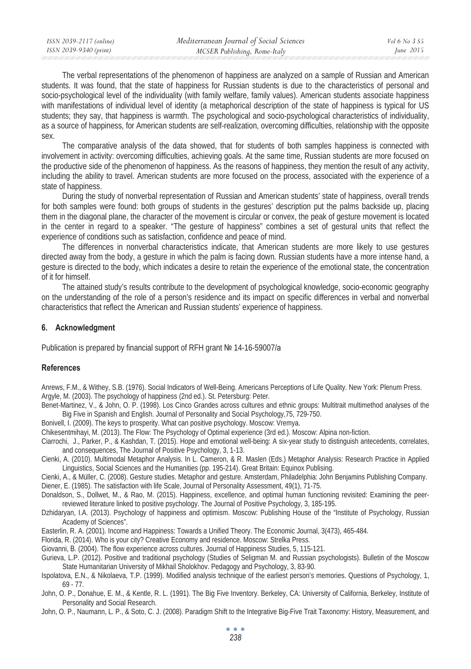| ISSN 2039-2117 (online) | Mediterranean Journal of Social Sciences | Vol 6 No 3 S5 |
|-------------------------|------------------------------------------|---------------|
| ISSN 2039-9340 (print)  | MCSER Publishing, Rome-Italy             | June 2015     |
|                         |                                          |               |

The verbal representations of the phenomenon of happiness are analyzed on a sample of Russian and American students. It was found, that the state of happiness for Russian students is due to the characteristics of personal and socio-psychological level of the individuality (with family welfare, family values). American students associate happiness with manifestations of individual level of identity (a metaphorical description of the state of happiness is typical for US students; they say, that happiness is warmth. The psychological and socio-psychological characteristics of individuality, as a source of happiness, for American students are self-realization, overcoming difficulties, relationship with the opposite sex.

The comparative analysis of the data showed, that for students of both samples happiness is connected with involvement in activity: overcoming difficulties, achieving goals. At the same time, Russian students are more focused on the productive side of the phenomenon of happiness. As the reasons of happiness, they mention the result of any activity, including the ability to travel. American students are more focused on the process, associated with the experience of a state of happiness.

During the study of nonverbal representation of Russian and American students' state of happiness, overall trends for both samples were found: both groups of students in the gestures' description put the palms backside up, placing them in the diagonal plane, the character of the movement is circular or convex, the peak of gesture movement is located in the center in regard to a speaker. "The gesture of happiness" combines a set of gestural units that reflect the experience of conditions such as satisfaction, confidence and peace of mind.

The differences in nonverbal characteristics indicate, that American students are more likely to use gestures directed away from the body, a gesture in which the palm is facing down. Russian students have a more intense hand, a gesture is directed to the body, which indicates a desire to retain the experience of the emotional state, the concentration of it for himself.

The attained study's results contribute to the development of psychological knowledge, socio-economic geography on the understanding of the role of a person's residence and its impact on specific differences in verbal and nonverbal characteristics that reflect the American and Russian students' experience of happiness.

#### **6. Acknowledgment**

Publication is prepared by financial support of RFH grant  $N<sup>2</sup>$  14-16-59007/a

#### **References**

Anrews, F.M., & Withey, S.B. (1976). Social Indicators of Well-Being. Americans Perceptions of Life Quality. New York: Plenum Press. Argyle, M. (2003). The psychology of happiness (2nd ed.). St. Petersburg: Peter.

Benet-Martinez, V., & John, O. P. (1998). Los Cinco Grandes across cultures and ethnic groups: Multitrait multimethod analyses of the Big Five in Spanish and English. Journal of Personality and Social Psychology,75, 729-750.

Bonivell, I. (2009). The keys to prosperity. What can positive psychology. Moscow: Vremya.

Chikesentmihayi, M. (2013). The Flow: The Psychology of Optimal experience (3rd ed.). Moscow: Alpina non-fiction.

Ciarrochi, J., Parker, P., & Kashdan, T. (2015). Hope and emotional well-being: A six-year study to distinguish antecedents, correlates, and consequences, The Journal of Positive Psychology, 3, 1-13.

Cienki, A. (2010). Multimodal Metaphor Analysis. In L. Cameron, & R. Maslen (Eds.) Metaphor Analysis: Research Practice in Applied Linguistics, Social Sciences and the Humanities (pp. 195-214). Great Britain: Equinox Publising.

Cienki, A., & Müller, C. (2008). Gesture studies. Metaphor and gesture. Amsterdam, Philadelphia: John Benjamins Publishing Company. Diener, E. (1985). The satisfaction with life Scale, Journal of Personality Assessment, 49(1), 71-75.

Donaldson, S., Dollwet, M., & Rao, M. (2015). Happiness, excellence, and optimal human functioning revisited: Examining the peerreviewed literature linked to positive psychology. The Journal of Positive Psychology, 3, 185-195.

Dzhidaryan, I.A. (2013). Psychology of happiness and optimism. Moscow: Publishing House of the "Institute of Psychology, Russian Academy of Sciences".

Easterlin, R. A. (2001). Income and Happiness: Towards a Unified Theory. The Economic Journal, 3(473), 465-484.

Florida, R. (2014). Who is your city? Creative Economy and residence. Moscow: Strelka Press.

Giovanni, B. (2004). The flow experience across cultures. Journal of Happiness Studies, 5, 115-121.

Gurieva, L.P. (2012). Positive and traditional psychology (Studies of Seligman M. and Russian psychologists). Bulletin of the Moscow State Humanitarian University of Mikhail Sholokhov. Pedagogy and Psychology, 3, 83-90.

Ispolatova, E.N., & Nikolaeva, T.P. (1999). Modified analysis technique of the earliest person's memories. Questions of Psychology, 1, 69 - 77.

John, O. P., Donahue, E. M., & Kentle, R. L. (1991). The Big Five Inventory. Berkeley, CA: University of California, Berkeley, Institute of Personality and Social Research.

John, O. P., Naumann, L. P., & Soto, C. J. (2008). Paradigm Shift to the Integrative Big-Five Trait Taxonomy: History, Measurement, and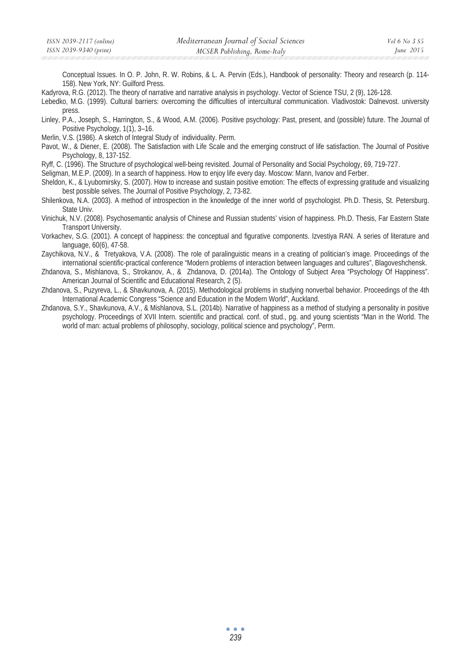Conceptual Issues. In O. P. John, R. W. Robins, & L. A. Pervin (Eds.), Handbook of personality: Theory and research (p. 114- 158). New York, NY: Guilford Press.

Kadyrova, R.G. (2012). The theory of narrative and narrative analysis in psychology. Vector of Science TSU, 2 (9), 126-128.

Lebedko, M.G. (1999). Cultural barriers: overcoming the difficulties of intercultural communication. Vladivostok: Dalnevost. university press.

Linley, P.A., Joseph, S., Harrington, S., & Wood, A.M. (2006). Positive psychology: Past, present, and (possible) future. The Journal of Positive Psychology, 1(1), 3–16.

Merlin, V.S. (1986). A sketch of Integral Study of individuality. Perm.

Pavot, W., & Diener, E. (2008). The Satisfaction with Life Scale and the emerging construct of life satisfaction. The Journal of Positive Psychology, 8, 137-152.

Ryff, C. (1996). The Structure of psychological well-being revisited. Journal of Personality and Social Psychology, 69, 719-727.

Seligman, M.E.P. (2009). In a search of happiness. How to enjoy life every day. Moscow: Mann, Ivanov and Ferber.

Sheldon, K., & Lyubomirsky, S. (2007). How to increase and sustain positive emotion: The effects of expressing gratitude and visualizing best possible selves. The Journal of Positive Psychology, 2, 73-82.

Shilenkova, N.A. (2003). A method of introspection in the knowledge of the inner world of psychologist. Ph.D. Thesis, St. Petersburg. State Univ.

Vinichuk, N.V. (2008). Psychosemantic analysis of Chinese and Russian students' vision of happiness. Ph.D. Thesis, Far Eastern State Transport University.

Vorkachev, S.G. (2001). A concept of happiness: the conceptual and figurative components. Izvestiya RAN. A series of literature and language, 60(6), 47-58.

Zaychikova, N.V., & Tretyakova, V.A. (2008). The role of paralinguistic means in a creating of politician's image. Proceedings of the international scientific-practical conference "Modern problems of interaction between languages and cultures", Blagoveshchensk.

Zhdanova, S., Mishlanova, S., Strokanov, A., & Zhdanova, D. (2014a). The Ontology of Subject Area "Psychology Of Happiness". American Journal of Scientific and Educational Research, 2 (5).

Zhdanova, S., Puzyreva, L., & Shavkunova, A. (2015). Methodological problems in studying nonverbal behavior. Proceedings of the 4th International Academic Congress "Science and Education in the Modern World", Auckland.

Zhdanova, S.Y., Shavkunova, A.V., & Mishlanova, S.L. (2014b). Narrative of happiness as a method of studying a personality in positive psychology. Proceedings of XVII Intern. scientific and practical. conf. of stud., pg. and young scientists "Man in the World. The world of man: actual problems of philosophy, sociology, political science and psychology", Perm.